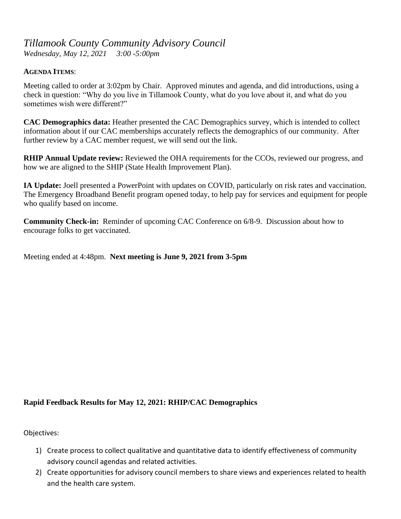## *Tillamook County Community Advisory Council*

*Wednesday, May 12, 2021 3:00 -5:00pm*

## **AGENDA ITEMS**:

Meeting called to order at 3:02pm by Chair. Approved minutes and agenda, and did introductions, using a check in question: "Why do you live in Tillamook County, what do you love about it, and what do you sometimes wish were different?"

**CAC Demographics data:** Heather presented the CAC Demographics survey, which is intended to collect information about if our CAC memberships accurately reflects the demographics of our community. After further review by a CAC member request, we will send out the link.

**RHIP Annual Update review:** Reviewed the OHA requirements for the CCOs, reviewed our progress, and how we are aligned to the SHIP (State Health Improvement Plan).

**IA Update:** Joell presented a PowerPoint with updates on COVID, particularly on risk rates and vaccination. The Emergency Broadband Benefit program opened today, to help pay for services and equipment for people who qualify based on income.

**Community Check-in:** Reminder of upcoming CAC Conference on 6/8-9. Discussion about how to encourage folks to get vaccinated.

Meeting ended at 4:48pm. **Next meeting is June 9, 2021 from 3-5pm**

## **Rapid Feedback Results for May 12, 2021: RHIP/CAC Demographics**

Objectives:

- 1) Create process to collect qualitative and quantitative data to identify effectiveness of community advisory council agendas and related activities.
- 2) Create opportunities for advisory council members to share views and experiences related to health and the health care system.